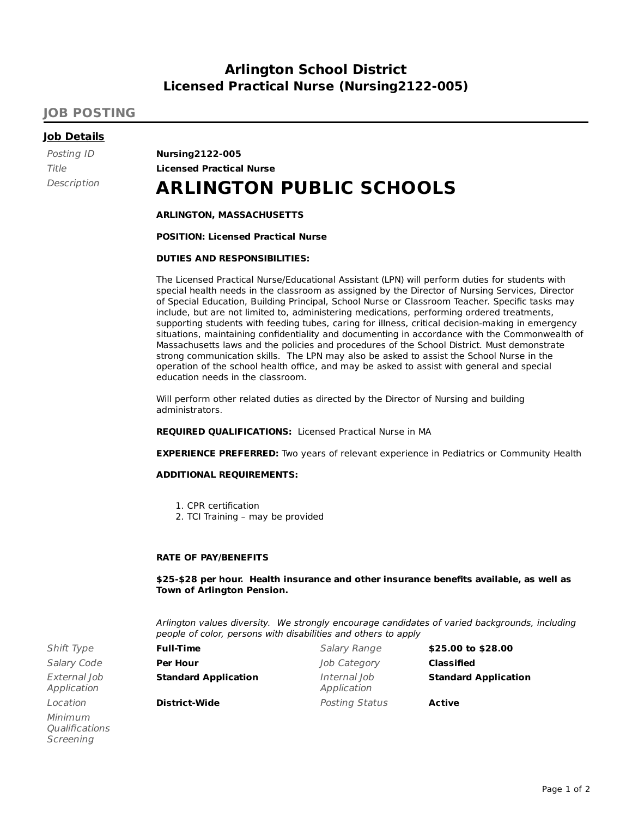## **Arlington School District Licensed Practical Nurse (Nursing2122-005)**

### **JOB POSTING**

#### **Job Details**

Posting ID **Nursing2122-005** Title **Licensed Practical Nurse**

# Description **ARLINGTON PUBLIC SCHOOLS**

#### **ARLINGTON, MASSACHUSETTS**

**POSITION: Licensed Practical Nurse**

#### **DUTIES AND RESPONSIBILITIES:**

The Licensed Practical Nurse/Educational Assistant (LPN) will perform duties for students with special health needs in the classroom as assigned by the Director of Nursing Services, Director of Special Education, Building Principal, School Nurse or Classroom Teacher. Specific tasks may include, but are not limited to, administering medications, performing ordered treatments, supporting students with feeding tubes, caring for illness, critical decision-making in emergency situations, maintaining confidentiality and documenting in accordance with the Commonwealth of Massachusetts laws and the policies and procedures of the School District. Must demonstrate strong communication skills. The LPN may also be asked to assist the School Nurse in the operation of the school health office, and may be asked to assist with general and special education needs in the classroom.

Will perform other related duties as directed by the Director of Nursing and building administrators.

**REQUIRED QUALIFICATIONS:** Licensed Practical Nurse in MA

**EXPERIENCE PREFERRED:** Two years of relevant experience in Pediatrics or Community Health

#### **ADDITIONAL REQUIREMENTS:**

- 1. CPR certification
- 2. TCI Training may be provided

#### **RATE OF PAY/BENEFITS**

**\$25-\$28 per hour. Health insurance and other insurance benefits available, as well as Town of Arlington Pension.**

Arlington values diversity. We strongly encourage candidates of varied backgrounds, including people of color, persons with disabilities and others to apply

| Shift Type                  | <b>Full-Time</b>            | Salary Range                | \$25.00 to \$28.00          |
|-----------------------------|-----------------------------|-----------------------------|-----------------------------|
| Salary Code                 | <b>Per Hour</b>             | Job Category                | Classified                  |
| External Job<br>Application | <b>Standard Application</b> | Internal Job<br>Application | <b>Standard Application</b> |
| Location                    | <b>District-Wide</b>        | Posting Status              | Active                      |

**Salary Code** External Job Application Minimum **Oualifications** Screening